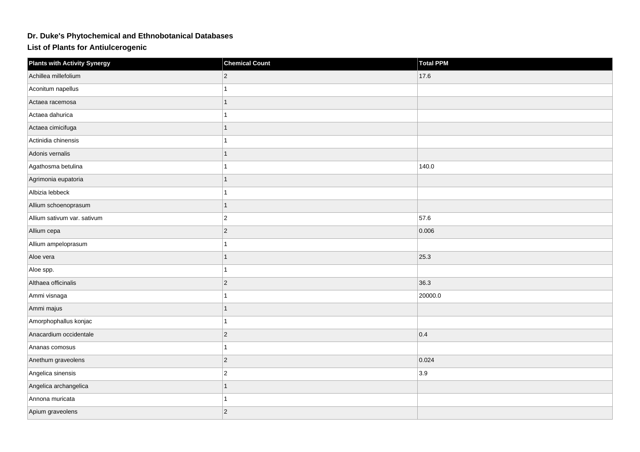## **Dr. Duke's Phytochemical and Ethnobotanical Databases**

**List of Plants for Antiulcerogenic**

| <b>Plants with Activity Synergy</b> | <b>Chemical Count</b> | <b>Total PPM</b> |
|-------------------------------------|-----------------------|------------------|
| Achillea millefolium                | $ 2\rangle$           | 17.6             |
| Aconitum napellus                   |                       |                  |
| Actaea racemosa                     |                       |                  |
| Actaea dahurica                     |                       |                  |
| Actaea cimicifuga                   |                       |                  |
| Actinidia chinensis                 |                       |                  |
| Adonis vernalis                     |                       |                  |
| Agathosma betulina                  |                       | 140.0            |
| Agrimonia eupatoria                 | 1                     |                  |
| Albizia lebbeck                     |                       |                  |
| Allium schoenoprasum                |                       |                  |
| Allium sativum var. sativum         | $\overline{c}$        | 57.6             |
| Allium cepa                         | $ 2\rangle$           | 0.006            |
| Allium ampeloprasum                 |                       |                  |
| Aloe vera                           |                       | 25.3             |
| Aloe spp.                           |                       |                  |
| Althaea officinalis                 | $ 2\rangle$           | 36.3             |
| Ammi visnaga                        |                       | 20000.0          |
| Ammi majus                          |                       |                  |
| Amorphophallus konjac               |                       |                  |
| Anacardium occidentale              | $ 2\rangle$           | 0.4              |
| Ananas comosus                      |                       |                  |
| Anethum graveolens                  | $ 2\rangle$           | 0.024            |
| Angelica sinensis                   | $\overline{c}$        | 3.9              |
| Angelica archangelica               |                       |                  |
| Annona muricata                     |                       |                  |
| Apium graveolens                    | $ 2\rangle$           |                  |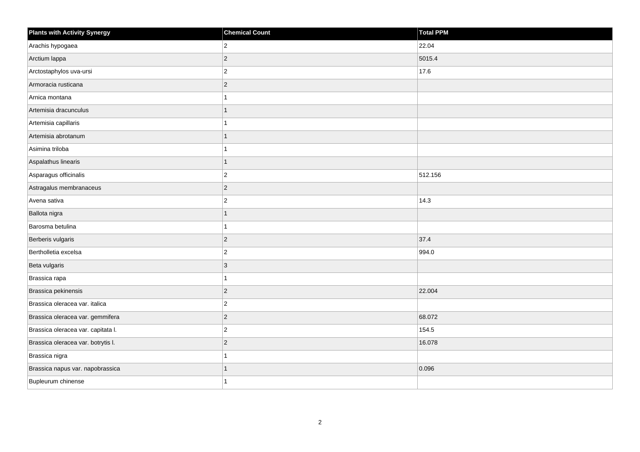| <b>Plants with Activity Synergy</b> | <b>Chemical Count</b> | <b>Total PPM</b> |
|-------------------------------------|-----------------------|------------------|
| Arachis hypogaea                    | $ 2\rangle$           | 22.04            |
| Arctium lappa                       | $ 2\rangle$           | 5015.4           |
| Arctostaphylos uva-ursi             | $ 2\rangle$           | 17.6             |
| Armoracia rusticana                 | $ 2\rangle$           |                  |
| Arnica montana                      | 1                     |                  |
| Artemisia dracunculus               | 1                     |                  |
| Artemisia capillaris                | $\overline{1}$        |                  |
| Artemisia abrotanum                 | 1                     |                  |
| Asimina triloba                     | 1                     |                  |
| Aspalathus linearis                 | $\overline{1}$        |                  |
| Asparagus officinalis               | $ 2\rangle$           | 512.156          |
| Astragalus membranaceus             | $ 2\rangle$           |                  |
| Avena sativa                        | $\vert$ 2             | 14.3             |
| Ballota nigra                       | 1                     |                  |
| Barosma betulina                    | 1                     |                  |
| Berberis vulgaris                   | $ 2\rangle$           | 37.4             |
| Bertholletia excelsa                | $ 2\rangle$           | 994.0            |
| Beta vulgaris                       | 3                     |                  |
| Brassica rapa                       | $\mathbf{1}$          |                  |
| Brassica pekinensis                 | $ 2\rangle$           | 22.004           |
| Brassica oleracea var. italica      | $ 2\rangle$           |                  |
| Brassica oleracea var. gemmifera    | $ 2\rangle$           | 68.072           |
| Brassica oleracea var. capitata I.  | $ 2\rangle$           | 154.5            |
| Brassica oleracea var. botrytis I.  | $ 2\rangle$           | 16.078           |
| Brassica nigra                      | $\mathbf{1}$          |                  |
| Brassica napus var. napobrassica    |                       | 0.096            |
| Bupleurum chinense                  | 1                     |                  |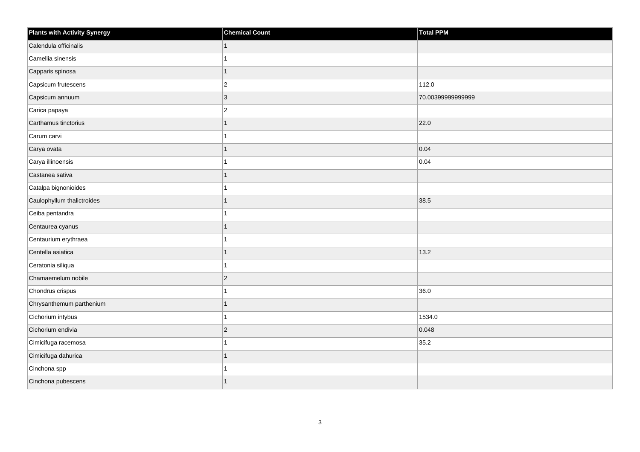| <b>Plants with Activity Synergy</b> | <b>Chemical Count</b> | <b>Total PPM</b>  |
|-------------------------------------|-----------------------|-------------------|
| Calendula officinalis               |                       |                   |
| Camellia sinensis                   |                       |                   |
| Capparis spinosa                    | 1                     |                   |
| Capsicum frutescens                 | $\overline{2}$        | 112.0             |
| Capsicum annuum                     | 3                     | 70.00399999999999 |
| Carica papaya                       | $\overline{c}$        |                   |
| Carthamus tinctorius                | 1                     | 22.0              |
| Carum carvi                         |                       |                   |
| Carya ovata                         |                       | 0.04              |
| Carya illinoensis                   |                       | 0.04              |
| Castanea sativa                     |                       |                   |
| Catalpa bignonioides                |                       |                   |
| Caulophyllum thalictroides          |                       | 38.5              |
| Ceiba pentandra                     |                       |                   |
| Centaurea cyanus                    |                       |                   |
| Centaurium erythraea                |                       |                   |
| Centella asiatica                   |                       | 13.2              |
| Ceratonia siliqua                   |                       |                   |
| Chamaemelum nobile                  | $\overline{2}$        |                   |
| Chondrus crispus                    |                       | 36.0              |
| Chrysanthemum parthenium            |                       |                   |
| Cichorium intybus                   |                       | 1534.0            |
| Cichorium endivia                   | $\overline{a}$        | 0.048             |
| Cimicifuga racemosa                 |                       | 35.2              |
| Cimicifuga dahurica                 | 1                     |                   |
| Cinchona spp                        |                       |                   |
| Cinchona pubescens                  |                       |                   |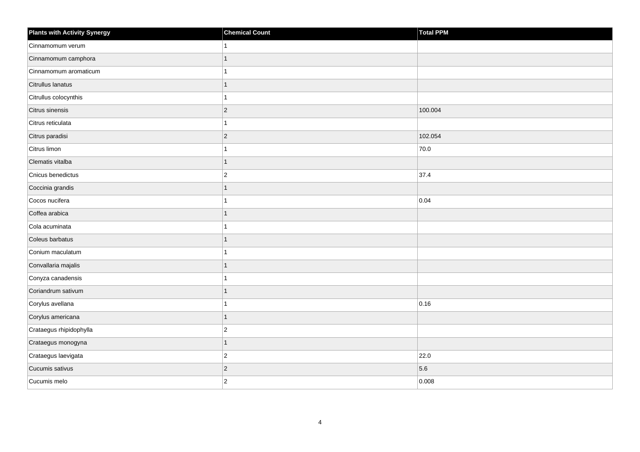| <b>Plants with Activity Synergy</b> | <b>Chemical Count</b> | Total PPM |
|-------------------------------------|-----------------------|-----------|
| Cinnamomum verum                    |                       |           |
| Cinnamomum camphora                 |                       |           |
| Cinnamomum aromaticum               |                       |           |
| Citrullus lanatus                   |                       |           |
| Citrullus colocynthis               |                       |           |
| Citrus sinensis                     | $\overline{2}$        | 100.004   |
| Citrus reticulata                   |                       |           |
| Citrus paradisi                     | $\overline{2}$        | 102.054   |
| Citrus limon                        |                       | 70.0      |
| Clematis vitalba                    | 1                     |           |
| Cnicus benedictus                   | $\overline{c}$        | 37.4      |
| Coccinia grandis                    |                       |           |
| Cocos nucifera                      |                       | 0.04      |
| Coffea arabica                      | 1                     |           |
| Cola acuminata                      |                       |           |
| Coleus barbatus                     | 1                     |           |
| Conium maculatum                    |                       |           |
| Convallaria majalis                 |                       |           |
| Conyza canadensis                   |                       |           |
| Coriandrum sativum                  |                       |           |
| Corylus avellana                    |                       | 0.16      |
| Corylus americana                   | 1                     |           |
| Crataegus rhipidophylla             | $\overline{2}$        |           |
| Crataegus monogyna                  | 1                     |           |
| Crataegus laevigata                 | $\overline{c}$        | 22.0      |
| Cucumis sativus                     | $\overline{a}$        | 5.6       |
| Cucumis melo                        | $\overline{2}$        | 0.008     |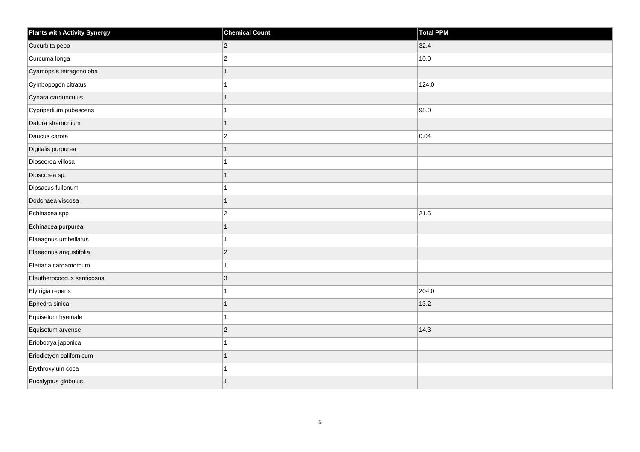| <b>Plants with Activity Synergy</b> | <b>Chemical Count</b> | Total PPM |
|-------------------------------------|-----------------------|-----------|
| Cucurbita pepo                      | $\overline{2}$        | 32.4      |
| Curcuma longa                       | $\overline{c}$        | 10.0      |
| Cyamopsis tetragonoloba             |                       |           |
| Cymbopogon citratus                 |                       | 124.0     |
| Cynara cardunculus                  |                       |           |
| Cypripedium pubescens               |                       | 98.0      |
| Datura stramonium                   | 1                     |           |
| Daucus carota                       | $\overline{2}$        | 0.04      |
| Digitalis purpurea                  |                       |           |
| Dioscorea villosa                   |                       |           |
| Dioscorea sp.                       | 1                     |           |
| Dipsacus fullonum                   |                       |           |
| Dodonaea viscosa                    | $\overline{1}$        |           |
| Echinacea spp                       | $\overline{2}$        | 21.5      |
| Echinacea purpurea                  |                       |           |
| Elaeagnus umbellatus                |                       |           |
| Elaeagnus angustifolia              | $\overline{2}$        |           |
| Elettaria cardamomum                |                       |           |
| Eleutherococcus senticosus          | $\overline{3}$        |           |
| Elytrigia repens                    |                       | 204.0     |
| Ephedra sinica                      |                       | 13.2      |
| Equisetum hyemale                   | 1                     |           |
| Equisetum arvense                   | $\overline{2}$        | 14.3      |
| Eriobotrya japonica                 |                       |           |
| Eriodictyon californicum            | 1                     |           |
| Erythroxylum coca                   |                       |           |
| Eucalyptus globulus                 |                       |           |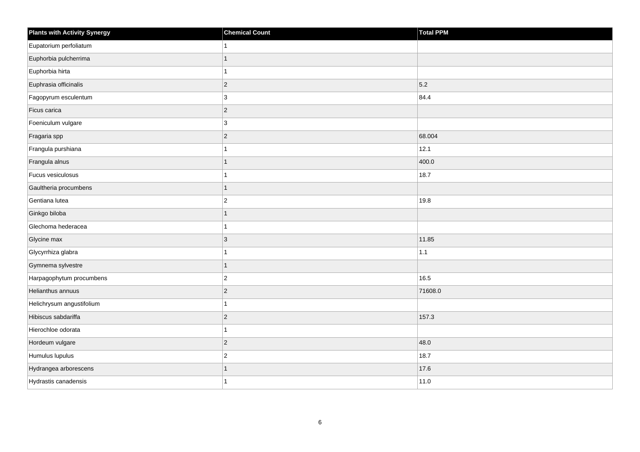| <b>Plants with Activity Synergy</b> | <b>Chemical Count</b> | <b>Total PPM</b> |
|-------------------------------------|-----------------------|------------------|
| Eupatorium perfoliatum              |                       |                  |
| Euphorbia pulcherrima               | 1                     |                  |
| Euphorbia hirta                     | 1                     |                  |
| Euphrasia officinalis               | $\vert$ 2             | 5.2              |
| Fagopyrum esculentum                | 3                     | 84.4             |
| Ficus carica                        | $ 2\rangle$           |                  |
| Foeniculum vulgare                  | 3                     |                  |
| Fragaria spp                        | $ 2\rangle$           | 68.004           |
| Frangula purshiana                  | 1                     | 12.1             |
| Frangula alnus                      | $\mathbf{1}$          | 400.0            |
| Fucus vesiculosus                   | 1                     | 18.7             |
| Gaultheria procumbens               | $\overline{1}$        |                  |
| Gentiana lutea                      | $\vert$ 2             | 19.8             |
| Ginkgo biloba                       | 1                     |                  |
| Glechoma hederacea                  | 1                     |                  |
| Glycine max                         | $\vert$ 3             | 11.85            |
| Glycyrrhiza glabra                  | 1                     | $1.1$            |
| Gymnema sylvestre                   | 1                     |                  |
| Harpagophytum procumbens            | $ 2\rangle$           | 16.5             |
| Helianthus annuus                   | $\overline{c}$        | 71608.0          |
| Helichrysum angustifolium           | 1                     |                  |
| Hibiscus sabdariffa                 | $\vert$ 2             | 157.3            |
| Hierochloe odorata                  | 1                     |                  |
| Hordeum vulgare                     | $ 2\rangle$           | 48.0             |
| Humulus lupulus                     | $\vert$ 2             | 18.7             |
| Hydrangea arborescens               | 1                     | 17.6             |
| Hydrastis canadensis                | 1                     | 11.0             |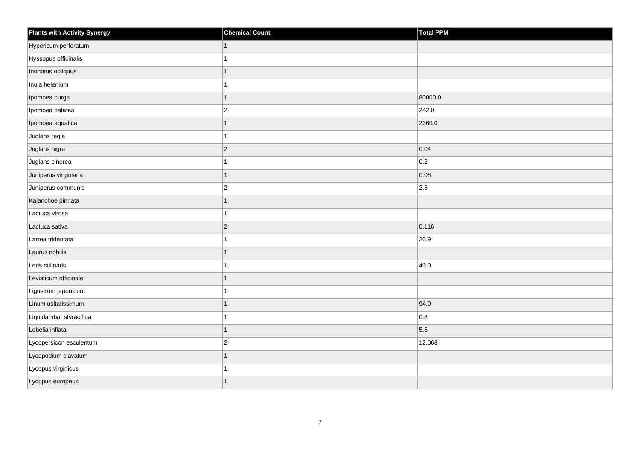| <b>Plants with Activity Synergy</b> | <b>Chemical Count</b> | Total PPM |
|-------------------------------------|-----------------------|-----------|
| Hypericum perforatum                | 1                     |           |
| Hyssopus officinalis                |                       |           |
| Inonotus obliquus                   |                       |           |
| Inula helenium                      |                       |           |
| Ipomoea purga                       | 1                     | 80000.0   |
| Ipomoea batatas                     | $\overline{c}$        | 242.0     |
| Ipomoea aquatica                    |                       | 2360.0    |
| Juglans regia                       |                       |           |
| Juglans nigra                       | $ 2\rangle$           | 0.04      |
| Juglans cinerea                     |                       | 0.2       |
| Juniperus virginiana                |                       | 0.08      |
| Juniperus communis                  | $\overline{c}$        | 2.6       |
| Kalanchoe pinnata                   | 1                     |           |
| Lactuca virosa                      |                       |           |
| Lactuca sativa                      | $ 2\rangle$           | 0.116     |
| Larrea tridentata                   |                       | 20.9      |
| Laurus nobilis                      |                       |           |
| Lens culinaris                      |                       | 40.0      |
| Levisticum officinale               | 1                     |           |
| Ligustrum japonicum                 |                       |           |
| Linum usitatissimum                 |                       | 94.0      |
| Liquidambar styraciflua             |                       | 0.8       |
| Lobelia inflata                     |                       | 5.5       |
| Lycopersicon esculentum             | $\overline{c}$        | 12.068    |
| Lycopodium clavatum                 | 1                     |           |
| Lycopus virginicus                  |                       |           |
| Lycopus europeus                    |                       |           |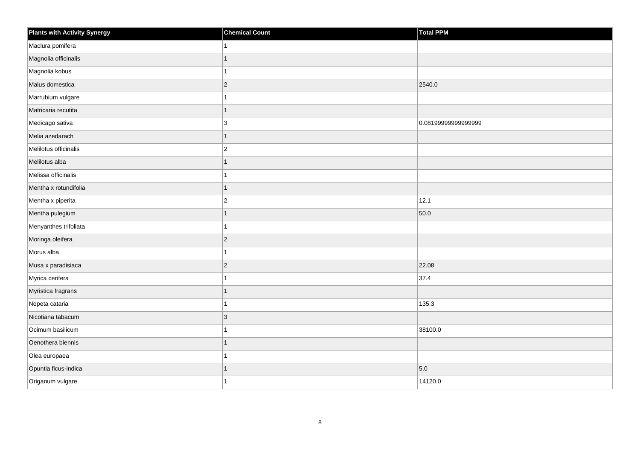| <b>Plants with Activity Synergy</b> | <b>Chemical Count</b> | Total PPM           |
|-------------------------------------|-----------------------|---------------------|
| Maclura pomifera                    | 1                     |                     |
| Magnolia officinalis                | $\overline{1}$        |                     |
| Magnolia kobus                      | $\overline{ }$        |                     |
| Malus domestica                     | $\overline{c}$        | 2540.0              |
| Marrubium vulgare                   | 1                     |                     |
| Matricaria recutita                 | $\overline{1}$        |                     |
| Medicago sativa                     | 3                     | 0.08199999999999999 |
| Melia azedarach                     | $\overline{1}$        |                     |
| Melilotus officinalis               | $\overline{2}$        |                     |
| Melilotus alba                      | $\overline{1}$        |                     |
| Melissa officinalis                 | 1                     |                     |
| Mentha x rotundifolia               | $\overline{1}$        |                     |
| Mentha x piperita                   | $\boldsymbol{2}$      | 12.1                |
| Mentha pulegium                     | $\overline{1}$        | 50.0                |
| Menyanthes trifoliata               | 1                     |                     |
| Moringa oleifera                    | $\overline{c}$        |                     |
| Morus alba                          | 1                     |                     |
| Musa x paradisiaca                  | $\overline{2}$        | 22.08               |
| Myrica cerifera                     | $\overline{1}$        | 37.4                |
| Myristica fragrans                  | 1                     |                     |
| Nepeta cataria                      |                       | 135.3               |
| Nicotiana tabacum                   | 3                     |                     |
| Ocimum basilicum                    | 1                     | 38100.0             |
| Oenothera biennis                   | 1                     |                     |
| Olea europaea                       | 1                     |                     |
| Opuntia ficus-indica                | 1                     | 5.0                 |
| Origanum vulgare                    | 1                     | 14120.0             |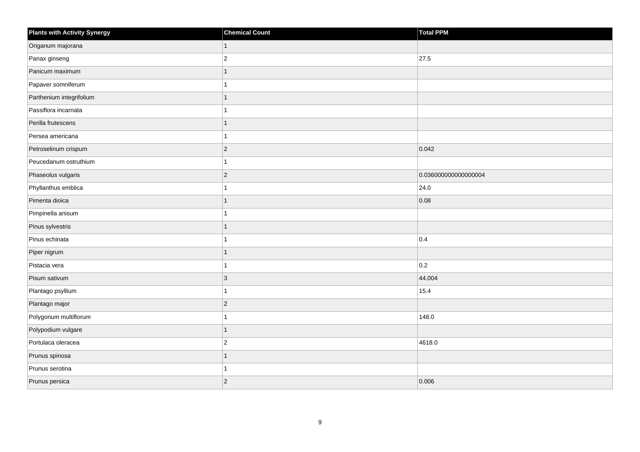| <b>Plants with Activity Synergy</b> | <b>Chemical Count</b> | Total PPM            |
|-------------------------------------|-----------------------|----------------------|
| Origanum majorana                   | $\mathbf{1}$          |                      |
| Panax ginseng                       | $\overline{c}$        | 27.5                 |
| Panicum maximum                     |                       |                      |
| Papaver somniferum                  |                       |                      |
| Parthenium integrifolium            | 1                     |                      |
| Passiflora incarnata                |                       |                      |
| Perilla frutescens                  | 1                     |                      |
| Persea americana                    |                       |                      |
| Petroselinum crispum                | $\overline{2}$        | 0.042                |
| Peucedanum ostruthium               |                       |                      |
| Phaseolus vulgaris                  | $\overline{2}$        | 0.036000000000000004 |
| Phyllanthus emblica                 |                       | 24.0                 |
| Pimenta dioica                      | 1                     | 0.08                 |
| Pimpinella anisum                   |                       |                      |
| Pinus sylvestris                    |                       |                      |
| Pinus echinata                      |                       | 0.4                  |
| Piper nigrum                        |                       |                      |
| Pistacia vera                       |                       | 0.2                  |
| Pisum sativum                       | 3                     | 44.004               |
| Plantago psyllium                   |                       | 15.4                 |
| Plantago major                      | $\overline{2}$        |                      |
| Polygonum multiflorum               |                       | 148.0                |
| Polypodium vulgare                  | 1                     |                      |
| Portulaca oleracea                  | $\overline{c}$        | 4618.0               |
| Prunus spinosa                      | $\overline{1}$        |                      |
| Prunus serotina                     | 1                     |                      |
| Prunus persica                      | $\overline{2}$        | 0.006                |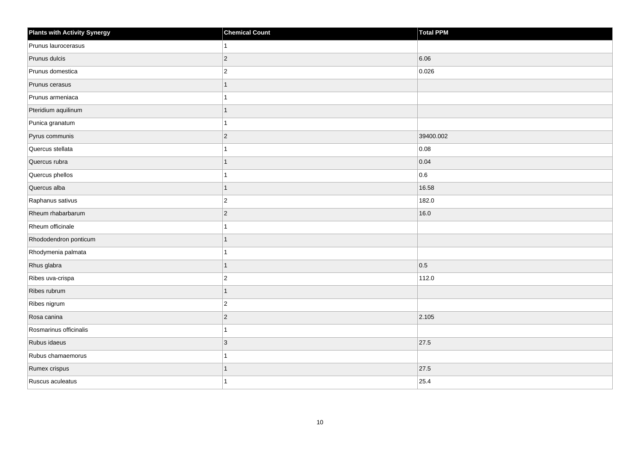| <b>Plants with Activity Synergy</b> | <b>Chemical Count</b> | Total PPM |
|-------------------------------------|-----------------------|-----------|
| Prunus laurocerasus                 |                       |           |
| Prunus dulcis                       | $\overline{2}$        | 6.06      |
| Prunus domestica                    | $\overline{a}$        | 0.026     |
| Prunus cerasus                      | 1                     |           |
| Prunus armeniaca                    |                       |           |
| Pteridium aquilinum                 |                       |           |
| Punica granatum                     |                       |           |
| Pyrus communis                      | $\overline{2}$        | 39400.002 |
| Quercus stellata                    |                       | 0.08      |
| Quercus rubra                       | 1                     | 0.04      |
| Quercus phellos                     |                       | 0.6       |
| Quercus alba                        | 1                     | 16.58     |
| Raphanus sativus                    | $\overline{2}$        | 182.0     |
| Rheum rhabarbarum                   | $\overline{2}$        | 16.0      |
| Rheum officinale                    |                       |           |
| Rhododendron ponticum               | 1                     |           |
| Rhodymenia palmata                  |                       |           |
| Rhus glabra                         | 1                     | 0.5       |
| Ribes uva-crispa                    | $\overline{2}$        | 112.0     |
| Ribes rubrum                        | 1                     |           |
| Ribes nigrum                        | $\overline{2}$        |           |
| Rosa canina                         | $\overline{c}$        | 2.105     |
| Rosmarinus officinalis              |                       |           |
| Rubus idaeus                        | 3                     | 27.5      |
| Rubus chamaemorus                   | 1                     |           |
| Rumex crispus                       |                       | 27.5      |
| Ruscus aculeatus                    |                       | 25.4      |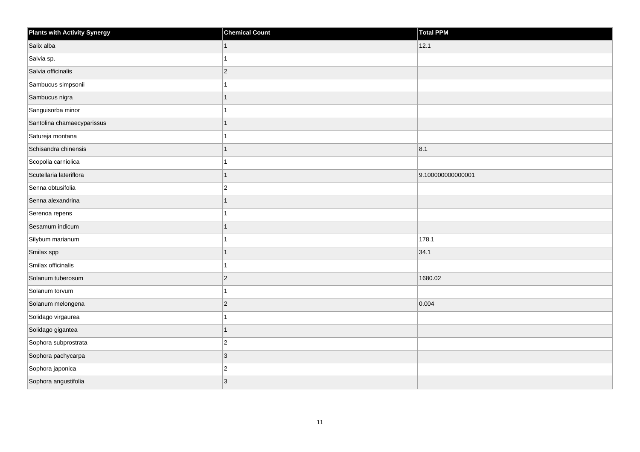| <b>Plants with Activity Synergy</b> | <b>Chemical Count</b> | Total PPM         |
|-------------------------------------|-----------------------|-------------------|
| Salix alba                          | 1                     | 12.1              |
| Salvia sp.                          |                       |                   |
| Salvia officinalis                  | $ 2\rangle$           |                   |
| Sambucus simpsonii                  |                       |                   |
| Sambucus nigra                      |                       |                   |
| Sanguisorba minor                   |                       |                   |
| Santolina chamaecyparissus          |                       |                   |
| Satureja montana                    |                       |                   |
| Schisandra chinensis                |                       | 8.1               |
| Scopolia carniolica                 |                       |                   |
| Scutellaria lateriflora             |                       | 9.100000000000001 |
| Senna obtusifolia                   | $\overline{c}$        |                   |
| Senna alexandrina                   |                       |                   |
| Serenoa repens                      |                       |                   |
| Sesamum indicum                     |                       |                   |
| Silybum marianum                    |                       | 178.1             |
| Smilax spp                          |                       | 34.1              |
| Smilax officinalis                  |                       |                   |
| Solanum tuberosum                   | $ 2\rangle$           | 1680.02           |
| Solanum torvum                      |                       |                   |
| Solanum melongena                   | $ 2\rangle$           | 0.004             |
| Solidago virgaurea                  |                       |                   |
| Solidago gigantea                   |                       |                   |
| Sophora subprostrata                | $\vert$ 2             |                   |
| Sophora pachycarpa                  | 3                     |                   |
| Sophora japonica                    | $ 2\rangle$           |                   |
| Sophora angustifolia                | $ 3\rangle$           |                   |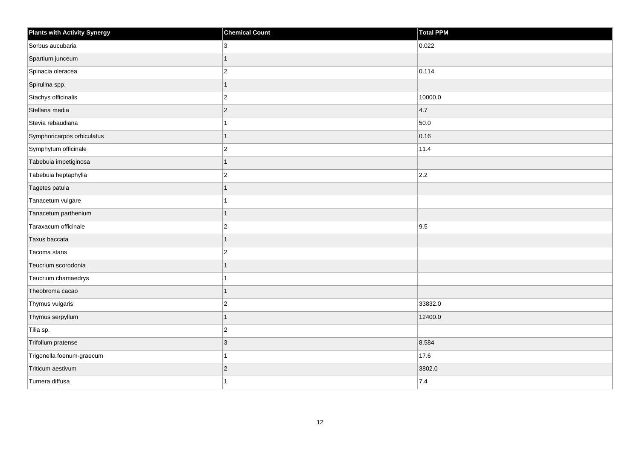| <b>Plants with Activity Synergy</b> | <b>Chemical Count</b> | Total PPM |
|-------------------------------------|-----------------------|-----------|
| Sorbus aucubaria                    | 3                     | 0.022     |
| Spartium junceum                    | 1                     |           |
| Spinacia oleracea                   | $\overline{c}$        | 0.114     |
| Spirulina spp.                      | $\mathbf{1}$          |           |
| Stachys officinalis                 | $\overline{2}$        | 10000.0   |
| Stellaria media                     | $ 2\rangle$           | 4.7       |
| Stevia rebaudiana                   | 1                     | 50.0      |
| Symphoricarpos orbiculatus          | 1                     | 0.16      |
| Symphytum officinale                | $\boldsymbol{2}$      | 11.4      |
| Tabebuia impetiginosa               | $\mathbf{1}$          |           |
| Tabebuia heptaphylla                | $\overline{2}$        | 2.2       |
| Tagetes patula                      | 1                     |           |
| Tanacetum vulgare                   | 1                     |           |
| Tanacetum parthenium                | 1                     |           |
| Taraxacum officinale                | $\overline{c}$        | 9.5       |
| Taxus baccata                       | 1                     |           |
| Tecoma stans                        | $\overline{c}$        |           |
| Teucrium scorodonia                 | 1                     |           |
| Teucrium chamaedrys                 | 1                     |           |
| Theobroma cacao                     | 1                     |           |
| Thymus vulgaris                     | $\overline{2}$        | 33832.0   |
| Thymus serpyllum                    | 1                     | 12400.0   |
| Tilia sp.                           | $\overline{2}$        |           |
| Trifolium pratense                  | 3                     | 8.584     |
| Trigonella foenum-graecum           | 1                     | 17.6      |
| Triticum aestivum                   | $\sqrt{2}$            | 3802.0    |
| Turnera diffusa                     | 1                     | 7.4       |